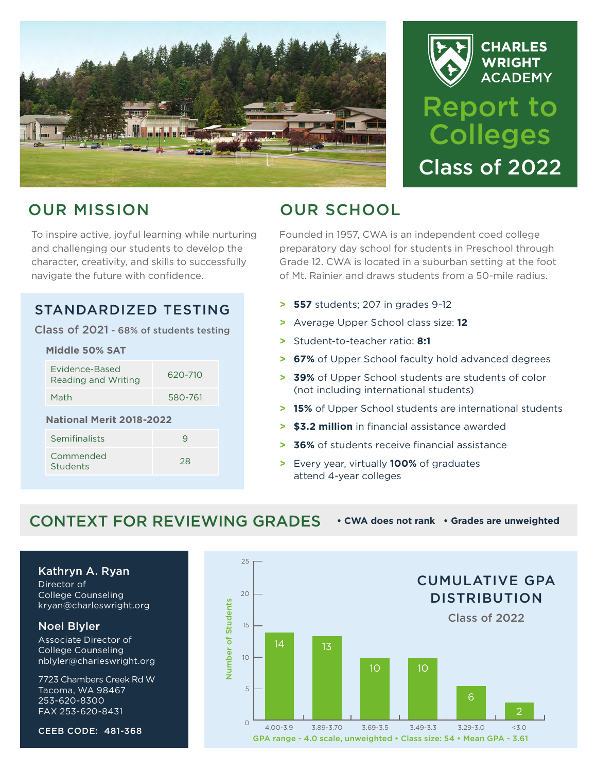



# OUR MISSION

To inspire active, joyful learning while nurturing and challenging our students to develop the character, creativity, and skills to successfully navigate the future with confidence.

### STANDARDIZED TESTING

Class of 2021 - 68% of students testing

| Middle 50% SAT                  |  |  |
|---------------------------------|--|--|
| 620-710                         |  |  |
| 580-761                         |  |  |
| <b>National Merit 2018-2022</b> |  |  |
| 9                               |  |  |
| 28                              |  |  |
|                                 |  |  |

# OUR SCHOOL

Founded in 1957, CWA is an independent coed college preparatory day school for students in Preschool through Grade 12. CWA is located in a suburban setting at the foot of Mt. Rainier and draws students from a 50-mile radius.

- **> 557** students; 207 in grades 9-12
- **>** Average Upper School class size: **12**
- **>** Student-to-teacher ratio: **8:1**
- **> 67%** of Upper School faculty hold advanced degrees
- **> 39%** of Upper School students are students of color (not including international students)
- **> 15%** of Upper School students are international students
- **> \$3.2 million** in financial assistance awarded
- **> 36%** of students receive financial assistance
- **>** Every year, virtually **100%** of graduates attend 4-year colleges

### CONTEXT FOR REVIEWING GRADES **• CWA does not rank • Grades are unweighted**

Kathryn A. Ryan

Director of College Counseling [kryan@charleswright.org](mailto:kryan@charleswright.org)

### Noel Blyler

Associate Director of College Counseling [nblyler@charleswright.org](mailto:nblyler@charleswright.org)

7723 Chambers Creek Rd W Tacoma, WA 98467 253-620-8300 FAX 253-620-8431

CEEB CODE: 481-368

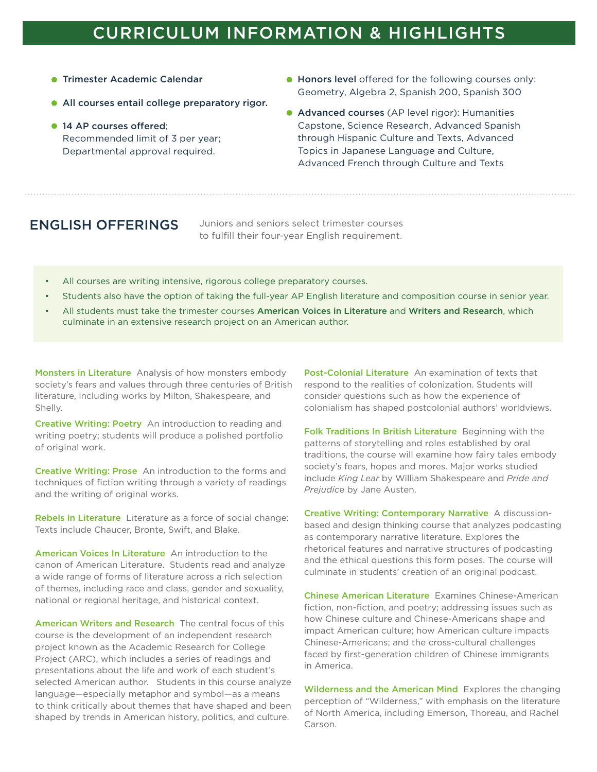## CURRICULUM INFORMATION & HIGHLIGHTS

- **Trimester Academic Calendar**
- All courses entail college preparatory rigor.
- <sup>14</sup> AP courses offered: Recommended limit of 3 per year; Departmental approval required.
- **Honors level** offered for the following courses only: Geometry, Algebra 2, Spanish 200, Spanish 300
- **Advanced courses** (AP level rigor): Humanities Capstone, Science Research, Advanced Spanish through Hispanic Culture and Texts, Advanced Topics in Japanese Language and Culture, Advanced French through Culture and Texts

**ENGLISH OFFERINGS** Juniors and seniors select trimester courses to fulfill their four-year English requirement.

- All courses are writing intensive, rigorous college preparatory courses.
- Students also have the option of taking the full-year AP English literature and composition course in senior year.
- All students must take the trimester courses American Voices in Literature and Writers and Research, which culminate in an extensive research project on an American author.

Monsters in Literature Analysis of how monsters embody society's fears and values through three centuries of British literature, including works by Milton, Shakespeare, and Shelly.

Creative Writing: Poetry An introduction to reading and writing poetry; students will produce a polished portfolio of original work.

Creative Writing: Prose An introduction to the forms and techniques of fiction writing through a variety of readings and the writing of original works.

Rebels in Literature Literature as a force of social change: Texts include Chaucer, Bronte, Swift, and Blake.

American Voices In Literature An introduction to the canon of American Literature. Students read and analyze a wide range of forms of literature across a rich selection of themes, including race and class, gender and sexuality, national or regional heritage, and historical context.

American Writers and Research The central focus of this course is the development of an independent research project known as the Academic Research for College Project (ARC), which includes a series of readings and presentations about the life and work of each student's selected American author. Students in this course analyze language—especially metaphor and symbol—as a means to think critically about themes that have shaped and been shaped by trends in American history, politics, and culture.

Post-Colonial Literature An examination of texts that respond to the realities of colonization. Students will consider questions such as how the experience of colonialism has shaped postcolonial authors' worldviews.

Folk Traditions In British Literature Beginning with the patterns of storytelling and roles established by oral traditions, the course will examine how fairy tales embody society's fears, hopes and mores. Major works studied include *King Lear* by William Shakespeare and *Pride and Prejudic*e by Jane Austen.

Creative Writing: Contemporary Narrative A discussionbased and design thinking course that analyzes podcasting as contemporary narrative literature. Explores the rhetorical features and narrative structures of podcasting and the ethical questions this form poses. The course will culminate in students' creation of an original podcast.

Chinese American Literature Examines Chinese-American fiction, non-fiction, and poetry; addressing issues such as how Chinese culture and Chinese-Americans shape and impact American culture; how American culture impacts Chinese-Americans; and the cross-cultural challenges faced by first-generation children of Chinese immigrants in America.

Wilderness and the American Mind Explores the changing perception of "Wilderness," with emphasis on the literature of North America, including Emerson, Thoreau, and Rachel Carson.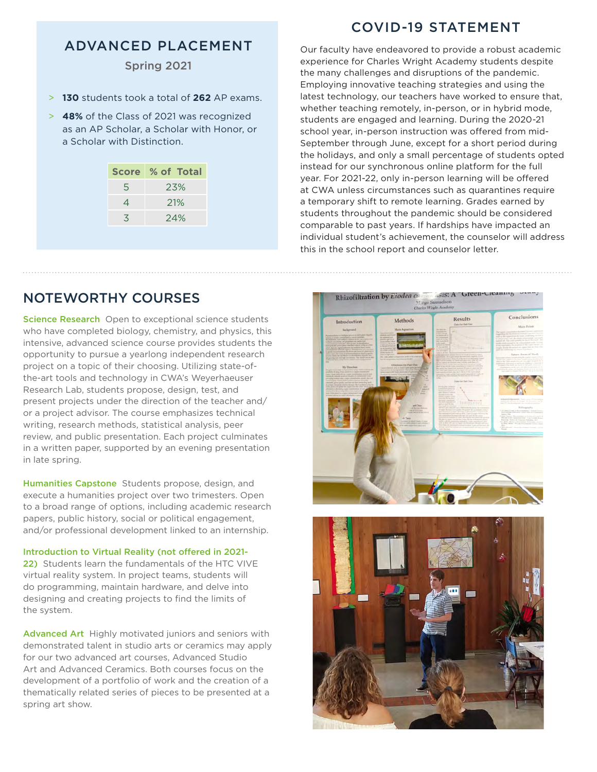### ADVANCED PLACEMENT

### Spring 2021

- > **130** students took a total of **262** AP exams.
- > **48%** of the Class of 2021 was recognized as an AP Scholar, a Scholar with Honor, or a Scholar with Distinction.

| <b>Score</b> | <b>2% of Total</b> |
|--------------|--------------------|
| 5            | 23%                |
| 4            | 21%                |
| 3            | 24%                |
|              |                    |

Our faculty have endeavored to provide a robust academic experience for Charles Wright Academy students despite the many challenges and disruptions of the pandemic. Employing innovative teaching strategies and using the latest technology, our teachers have worked to ensure that, whether teaching remotely, in-person, or in hybrid mode, students are engaged and learning. During the 2020-21 school year, in-person instruction was offered from mid-September through June, except for a short period during the holidays, and only a small percentage of students opted instead for our synchronous online platform for the full year. For 2021-22, only in-person learning will be offered at CWA unless circumstances such as quarantines require a temporary shift to remote learning. Grades earned by students throughout the pandemic should be considered comparable to past years. If hardships have impacted an individual student's achievement, the counselor will address this in the school report and counselor letter.

### NOTEWORTHY COURSES

Science Research Open to exceptional science students who have completed biology, chemistry, and physics, this intensive, advanced science course provides students the opportunity to pursue a yearlong independent research project on a topic of their choosing. Utilizing state-ofthe-art tools and technology in CWA's Weyerhaeuser Research Lab, students propose, design, test, and present projects under the direction of the teacher and/ or a project advisor. The course emphasizes technical writing, research methods, statistical analysis, peer review, and public presentation. Each project culminates in a written paper, supported by an evening presentation in late spring.

Humanities Capstone Students propose, design, and execute a humanities project over two trimesters. Open to a broad range of options, including academic research papers, public history, social or political engagement, and/or professional development linked to an internship.

Introduction to Virtual Reality (not offered in 2021- 22) Students learn the fundamentals of the HTC VIVE virtual reality system. In project teams, students will do programming, maintain hardware, and delve into designing and creating projects to find the limits of the system.

Advanced Art Highly motivated juniors and seniors with demonstrated talent in studio arts or ceramics may apply for our two advanced art courses, Advanced Studio Art and Advanced Ceramics. Both courses focus on the development of a portfolio of work and the creation of a thematically related series of pieces to be presented at a spring art show.





### COVID-19 STATEMENT